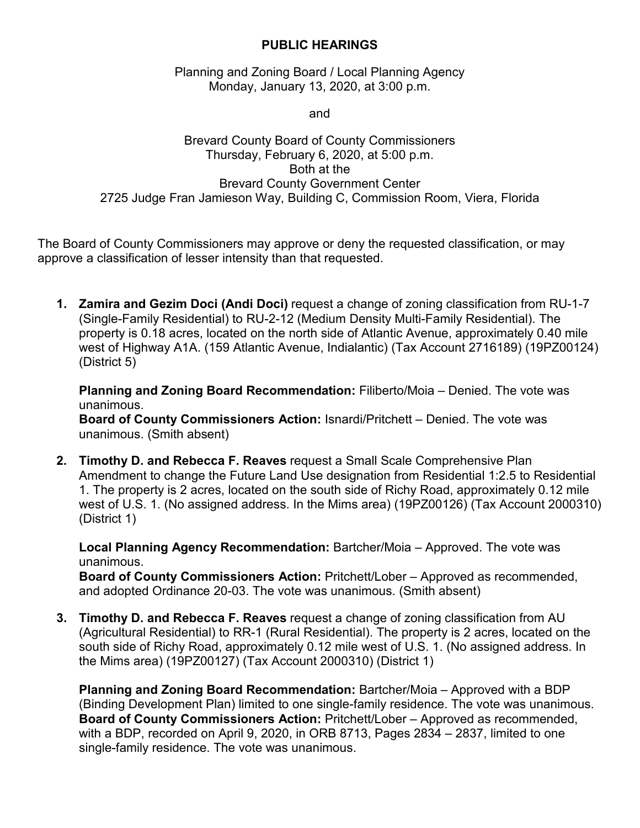## **PUBLIC HEARINGS**

Planning and Zoning Board / Local Planning Agency Monday, January 13, 2020, at 3:00 p.m.

and

## Brevard County Board of County Commissioners Thursday, February 6, 2020, at 5:00 p.m. Both at the Brevard County Government Center 2725 Judge Fran Jamieson Way, Building C, Commission Room, Viera, Florida

The Board of County Commissioners may approve or deny the requested classification, or may approve a classification of lesser intensity than that requested.

**1. Zamira and Gezim Doci (Andi Doci)** request a change of zoning classification from RU-1-7 (Single-Family Residential) to RU-2-12 (Medium Density Multi-Family Residential). The property is 0.18 acres, located on the north side of Atlantic Avenue, approximately 0.40 mile west of Highway A1A. (159 Atlantic Avenue, Indialantic) (Tax Account 2716189) (19PZ00124) (District 5)

**Planning and Zoning Board Recommendation:** Filiberto/Moia – Denied. The vote was unanimous.

**Board of County Commissioners Action:** Isnardi/Pritchett – Denied. The vote was unanimous. (Smith absent)

**2. Timothy D. and Rebecca F. Reaves** request a Small Scale Comprehensive Plan Amendment to change the Future Land Use designation from Residential 1:2.5 to Residential 1. The property is 2 acres, located on the south side of Richy Road, approximately 0.12 mile west of U.S. 1. (No assigned address. In the Mims area) (19PZ00126) (Tax Account 2000310) (District 1)

**Local Planning Agency Recommendation:** Bartcher/Moia – Approved. The vote was unanimous.

**Board of County Commissioners Action:** Pritchett/Lober – Approved as recommended, and adopted Ordinance 20-03. The vote was unanimous. (Smith absent)

**3. Timothy D. and Rebecca F. Reaves** request a change of zoning classification from AU (Agricultural Residential) to RR-1 (Rural Residential). The property is 2 acres, located on the south side of Richy Road, approximately 0.12 mile west of U.S. 1. (No assigned address. In the Mims area) (19PZ00127) (Tax Account 2000310) (District 1)

**Planning and Zoning Board Recommendation:** Bartcher/Moia – Approved with a BDP (Binding Development Plan) limited to one single-family residence. The vote was unanimous. **Board of County Commissioners Action:** Pritchett/Lober – Approved as recommended, with a BDP, recorded on April 9, 2020, in ORB 8713, Pages 2834 – 2837, limited to one single-family residence. The vote was unanimous.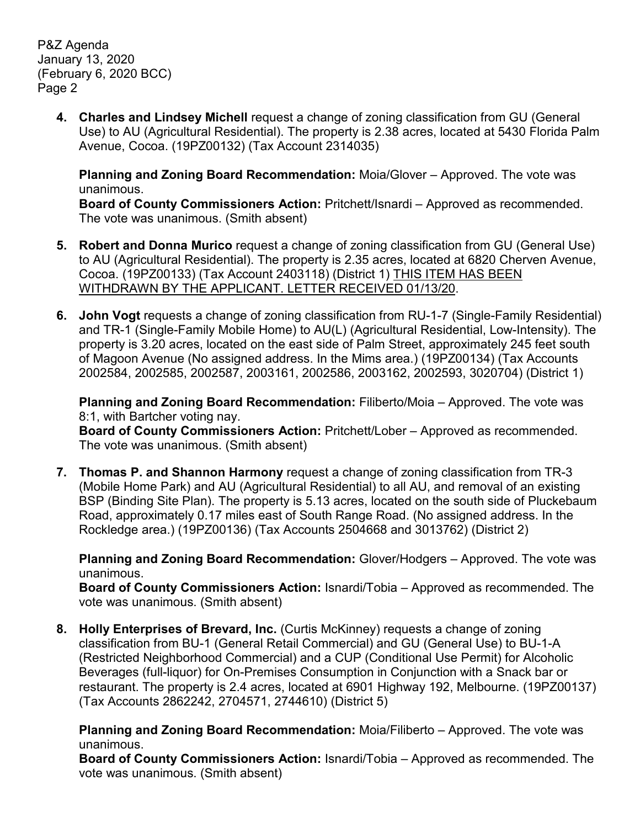P&Z Agenda January 13, 2020 (February 6, 2020 BCC) Page 2

> **4. Charles and Lindsey Michell** request a change of zoning classification from GU (General Use) to AU (Agricultural Residential). The property is 2.38 acres, located at 5430 Florida Palm Avenue, Cocoa. (19PZ00132) (Tax Account 2314035)

**Planning and Zoning Board Recommendation:** Moia/Glover – Approved. The vote was unanimous.

**Board of County Commissioners Action:** Pritchett/Isnardi – Approved as recommended. The vote was unanimous. (Smith absent)

- **5. Robert and Donna Murico** request a change of zoning classification from GU (General Use) to AU (Agricultural Residential). The property is 2.35 acres, located at 6820 Cherven Avenue, Cocoa. (19PZ00133) (Tax Account 2403118) (District 1) THIS ITEM HAS BEEN WITHDRAWN BY THE APPLICANT. LETTER RECEIVED 01/13/20.
- **6. John Vogt** requests a change of zoning classification from RU-1-7 (Single-Family Residential) and TR-1 (Single-Family Mobile Home) to AU(L) (Agricultural Residential, Low-Intensity). The property is 3.20 acres, located on the east side of Palm Street, approximately 245 feet south of Magoon Avenue (No assigned address. In the Mims area.) (19PZ00134) (Tax Accounts 2002584, 2002585, 2002587, 2003161, 2002586, 2003162, 2002593, 3020704) (District 1)

**Planning and Zoning Board Recommendation:** Filiberto/Moia – Approved. The vote was 8:1, with Bartcher voting nay.

**Board of County Commissioners Action:** Pritchett/Lober – Approved as recommended. The vote was unanimous. (Smith absent)

**7. Thomas P. and Shannon Harmony** request a change of zoning classification from TR-3 (Mobile Home Park) and AU (Agricultural Residential) to all AU, and removal of an existing BSP (Binding Site Plan). The property is 5.13 acres, located on the south side of Pluckebaum Road, approximately 0.17 miles east of South Range Road. (No assigned address. In the Rockledge area.) (19PZ00136) (Tax Accounts 2504668 and 3013762) (District 2)

**Planning and Zoning Board Recommendation:** Glover/Hodgers – Approved. The vote was unanimous.

**Board of County Commissioners Action:** Isnardi/Tobia – Approved as recommended. The vote was unanimous. (Smith absent)

**8. Holly Enterprises of Brevard, Inc.** (Curtis McKinney) requests a change of zoning classification from BU-1 (General Retail Commercial) and GU (General Use) to BU-1-A (Restricted Neighborhood Commercial) and a CUP (Conditional Use Permit) for Alcoholic Beverages (full-liquor) for On-Premises Consumption in Conjunction with a Snack bar or restaurant. The property is 2.4 acres, located at 6901 Highway 192, Melbourne. (19PZ00137) (Tax Accounts 2862242, 2704571, 2744610) (District 5)

**Planning and Zoning Board Recommendation:** Moia/Filiberto – Approved. The vote was unanimous.

**Board of County Commissioners Action:** Isnardi/Tobia – Approved as recommended. The vote was unanimous. (Smith absent)